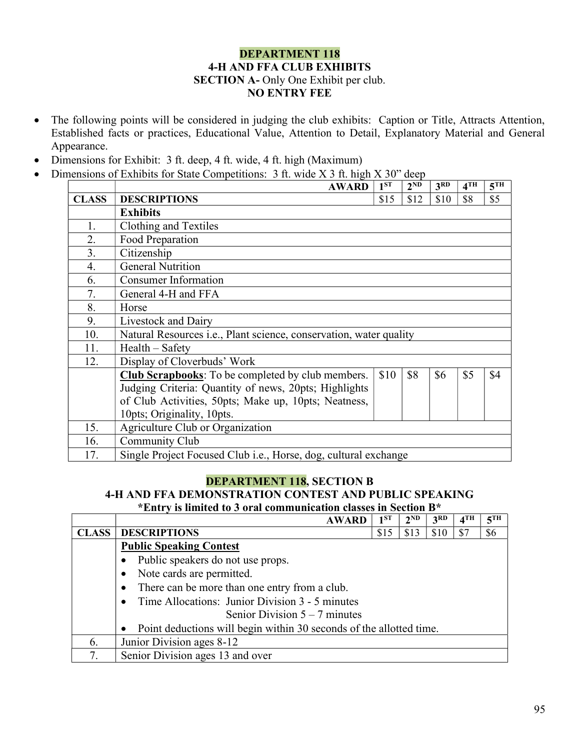## DEPARTMENT 118 4-H AND FFA CLUB EXHIBITS SECTION A- Only One Exhibit per club. NO ENTRY FEE

- The following points will be considered in judging the club exhibits: Caption or Title, Attracts Attention, Established facts or practices, Educational Value, Attention to Detail, Explanatory Material and General Appearance.
- Dimensions for Exhibit: 3 ft. deep, 4 ft. wide, 4 ft. high (Maximum)
- Dimensions of Exhibits for State Competitions: 3 ft. wide X 3 ft. high X 30" deep

|              | <b>AWARD</b>                                                               | 1 <sup>ST</sup> | 2 <sup>ND</sup> | 3 <sup>RD</sup> | $4$ TH | 5 <sup>TH</sup> |  |
|--------------|----------------------------------------------------------------------------|-----------------|-----------------|-----------------|--------|-----------------|--|
| <b>CLASS</b> | <b>DESCRIPTIONS</b>                                                        | \$15            | \$12            | \$10            | \$8    | \$5             |  |
|              | <b>Exhibits</b>                                                            |                 |                 |                 |        |                 |  |
| 1.           | Clothing and Textiles                                                      |                 |                 |                 |        |                 |  |
| 2.           | Food Preparation                                                           |                 |                 |                 |        |                 |  |
| 3.           | Citizenship                                                                |                 |                 |                 |        |                 |  |
| 4.           | <b>General Nutrition</b>                                                   |                 |                 |                 |        |                 |  |
| 6.           | <b>Consumer Information</b>                                                |                 |                 |                 |        |                 |  |
| 7.           | General 4-H and FFA                                                        |                 |                 |                 |        |                 |  |
| 8.           | Horse                                                                      |                 |                 |                 |        |                 |  |
| 9.           | Livestock and Dairy                                                        |                 |                 |                 |        |                 |  |
| 10.          | Natural Resources <i>i.e.</i> , Plant science, conservation, water quality |                 |                 |                 |        |                 |  |
| 11.          | $Health - Safety$                                                          |                 |                 |                 |        |                 |  |
| 12.          | Display of Cloverbuds' Work                                                |                 |                 |                 |        |                 |  |
|              | <b>Club Scrapbooks:</b> To be completed by club members.                   | \$10            | \$8             | \$6             | \$5    | \$4             |  |
|              | Judging Criteria: Quantity of news, 20pts; Highlights                      |                 |                 |                 |        |                 |  |
|              | of Club Activities, 50pts; Make up, 10pts; Neatness,                       |                 |                 |                 |        |                 |  |
|              | 10pts; Originality, 10pts.                                                 |                 |                 |                 |        |                 |  |
| 15.          | Agriculture Club or Organization                                           |                 |                 |                 |        |                 |  |
| 16.          | Community Club                                                             |                 |                 |                 |        |                 |  |
| 17.          | Single Project Focused Club <i>i.e.</i> , Horse, dog, cultural exchange    |                 |                 |                 |        |                 |  |

## DEPARTMENT 118, SECTION B

## 4-H AND FFA DEMONSTRATION CONTEST AND PUBLIC SPEAKING

\*Entry is limited to 3 oral communication classes in Section B\*

|              | <b>AWARD</b>                                                        | 1 <sup>ST</sup> | $2^{ND}$ | 3RD  | $4$ TH | 5 <sup>TH</sup> |  |
|--------------|---------------------------------------------------------------------|-----------------|----------|------|--------|-----------------|--|
| <b>CLASS</b> | <b>DESCRIPTIONS</b>                                                 | \$15            | \$13     | \$10 |        | \$6             |  |
|              | <b>Public Speaking Contest</b>                                      |                 |          |      |        |                 |  |
|              | Public speakers do not use props.                                   |                 |          |      |        |                 |  |
|              | Note cards are permitted.                                           |                 |          |      |        |                 |  |
|              | There can be more than one entry from a club.                       |                 |          |      |        |                 |  |
|              | Time Allocations: Junior Division 3 - 5 minutes                     |                 |          |      |        |                 |  |
|              | Senior Division $5 - 7$ minutes                                     |                 |          |      |        |                 |  |
|              | Point deductions will begin within 30 seconds of the allotted time. |                 |          |      |        |                 |  |
| 6.           | Junior Division ages 8-12                                           |                 |          |      |        |                 |  |
| 7.           | Senior Division ages 13 and over                                    |                 |          |      |        |                 |  |